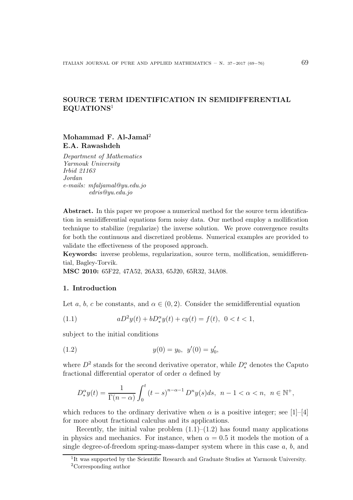# SOURCE TERM IDENTIFICATION IN SEMIDIFFERENTIAL EQUATIONS<sup>1</sup>

# Mohammad F. Al-Jamal<sup>2</sup> E.A. Rawashdeh

*Department of Mathematics Yarmouk University Irbid 21163 Jordan e-mails: mfaljamal@yu.edu.jo edris@yu.edu.jo*

Abstract. In this paper we propose a numerical method for the source term identification in semidifferential equations form noisy data. Our method employ a mollification technique to stabilize (regularize) the inverse solution. We prove convergence results for both the continuous and discretized problems. Numerical examples are provided to validate the effectiveness of the proposed approach.

Keywords: inverse problems, regularization, source term, mollification, semidifferential, Bagley-Torvik.

MSC 2010: 65F22, 47A52, 26A33, 65J20, 65R32, 34A08.

## 1. Introduction

Let a, b, c be constants, and  $\alpha \in (0, 2)$ . Consider the semidifferential equation

(1.1) 
$$
aD^2y(t) + bD^{\alpha}_*y(t) + cy(t) = f(t), \ 0 < t < 1,
$$

subject to the initial conditions

(1.2) 
$$
y(0) = y_0, \ y'(0) = y'_0,
$$

where  $D^2$  stands for the second derivative operator, while  $D_*^{\alpha}$  denotes the Caputo fractional differential operator of order  $\alpha$  defined by

$$
D_{*}^{\alpha}y(t) = \frac{1}{\Gamma(n-\alpha)} \int_{0}^{t} (t-s)^{n-\alpha-1} D^{n}y(s)ds, \ \ n-1 < \alpha < n, \ \ n \in \mathbb{N}^{+},
$$

which reduces to the ordinary derivative when  $\alpha$  is a positive integer; see [1]–[4] for more about fractional calculus and its applications.

Recently, the initial value problem  $(1.1)$ – $(1.2)$  has found many applications in physics and mechanics. For instance, when  $\alpha = 0.5$  it models the motion of a single degree-of-freedom spring-mass-damper system where in this case a, b, and

<sup>&</sup>lt;sup>1</sup>It was supported by the Scientific Research and Graduate Studies at Yarmouk University. <sup>2</sup>Corresponding author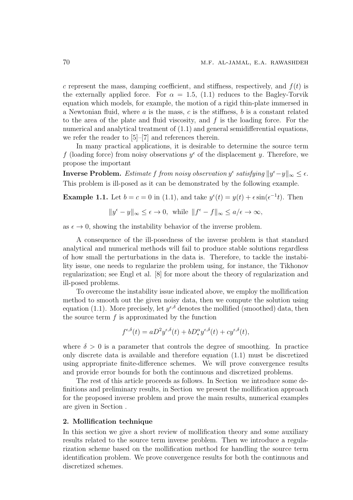c represent the mass, damping coefficient, and stiffness, respectively, and  $f(t)$  is the externally applied force. For  $\alpha = 1.5$ , (1.1) reduces to the Bagley-Torvik equation which models, for example, the motion of a rigid thin-plate immersed in a Newtonian fluid, where  $a$  is the mass,  $c$  is the stiffness,  $b$  is a constant related to the area of the plate and fluid viscosity, and f is the loading force. For the numerical and analytical treatment of (1.1) and general semidifferential equations, we refer the reader to [5]–[7] and references therein.

In many practical applications, it is desirable to determine the source term f (loading force) from noisy observations  $y^{\epsilon}$  of the displacement y. Therefore, we propose the important

**Inverse Problem.** Estimate f from noisy observation  $y^{\epsilon}$  satisfying  $||y^{\epsilon}-y||_{\infty} \leq \epsilon$ . This problem is ill-posed as it can be demonstrated by the following example.

**Example 1.1.** Let  $b = c = 0$  in (1.1), and take  $y^{\epsilon}(t) = y(t) + \epsilon \sin(\epsilon^{-1}t)$ . Then

$$
||y^{\epsilon} - y||_{\infty} \leq \epsilon \to 0, \text{ while } ||f^{\epsilon} - f||_{\infty} \leq a/\epsilon \to \infty,
$$

as  $\epsilon \to 0$ , showing the instability behavior of the inverse problem.

A consequence of the ill-posedness of the inverse problem is that standard analytical and numerical methods will fail to produce stable solutions regardless of how small the perturbations in the data is. Therefore, to tackle the instability issue, one needs to regularize the problem using, for instance, the Tikhonov regularization; see Engl et al. [8] for more about the theory of regularization and ill-posed problems.

To overcome the instability issue indicated above, we employ the mollification method to smooth out the given noisy data, then we compute the solution using equation (1.1). More precisely, let  $y^{\epsilon,\delta}$  denotes the mollified (smoothed) data, then the source term  $f$  is approximated by the function

$$
f^{\epsilon,\delta}(t) = aD^2 y^{\epsilon,\delta}(t) + bD_*^{\alpha} y^{\epsilon,\delta}(t) + c y^{\epsilon,\delta}(t),
$$

where  $\delta > 0$  is a parameter that controls the degree of smoothing. In practice only discrete data is available and therefore equation (1.1) must be discretized using appropriate finite-difference schemes. We will prove convergence results and provide error bounds for both the continuous and discretized problems.

The rest of this article proceeds as follows. In Section we introduce some definitions and preliminary results, in Section we present the mollification approach for the proposed inverse problem and prove the main results, numerical examples are given in Section .

#### 2. Mollification technique

In this section we give a short review of mollification theory and some auxiliary results related to the source term inverse problem. Then we introduce a regularization scheme based on the mollification method for handling the source term identification problem. We prove convergence results for both the continuous and discretized schemes.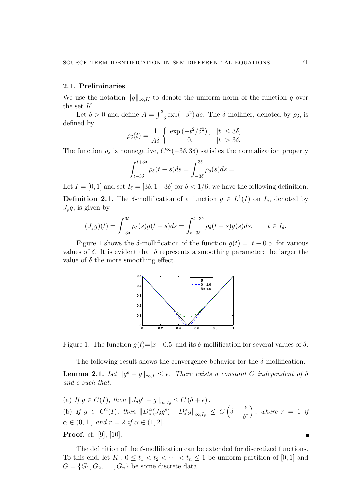## 2.1. Preliminaries

We use the notation  $||g||_{\infty,K}$  to denote the uniform norm of the function g over the set K.

Let  $\delta > 0$  and define  $A = \int_{-3}^{3} \exp(-s^2) ds$ . The  $\delta$ -mollifier, denoted by  $\rho_{\delta}$ , is defined by

$$
\rho_{\delta}(t) = \frac{1}{A\delta} \begin{cases} \exp\left(-t^2/\delta^2\right), & |t| \le 3\delta, \\ 0, & |t| > 3\delta. \end{cases}
$$

The function  $\rho_{\delta}$  is nonnegative,  $C^{\infty}(-3\delta, 3\delta)$  satisfies the normalization property

$$
\int_{t-3\delta}^{t+3\delta} \rho_{\delta}(t-s)ds = \int_{-3\delta}^{3\delta} \rho_{\delta}(s)ds = 1.
$$

Let  $I = [0, 1]$  and set  $I_{\delta} = [3\delta, 1-3\delta]$  for  $\delta < 1/6$ , we have the following definition.

**Definition 2.1.** The  $\delta$ -mollification of a function  $g \in L^1(I)$  on  $I_{\delta}$ , denoted by  $J_{\delta}g$ , is given by

$$
(J_{\delta}g)(t) = \int_{-3\delta}^{3\delta} \rho_{\delta}(s)g(t-s)ds = \int_{t-3\delta}^{t+3\delta} \rho_{\delta}(t-s)g(s)ds, \qquad t \in I_{\delta}.
$$

Figure 1 shows the δ-mollification of the function  $g(t) = |t - 0.5|$  for various values of  $\delta$ . It is evident that  $\delta$  represents a smoothing parameter; the larger the value of  $\delta$  the more smoothing effect.



Figure 1: The function  $g(t)=|x-0.5|$  and its  $\delta$ -mollification for several values of  $\delta$ .

The following result shows the convergence behavior for the  $\delta$ -mollification.

**Lemma 2.1.** Let  $||g^{\epsilon} - g||_{\infty, I} \leq \epsilon$ . There exists a constant C independent of  $\delta$ and  $\epsilon$  such that:

(a) If  $g \in C(I)$ , then  $||J_{\delta}g^{\epsilon} - g||_{\infty, I_{\delta}} \leq C(\delta + \epsilon)$ . (b) If  $g \in C^2(I)$ , then  $||D_*^{\alpha}(J_{\delta}g^{\epsilon}) - D_*^{\alpha}g||_{\infty,I_{\delta}} \leq C\left(\delta + \frac{1}{2}\right)$  $\epsilon$  $\delta^r$  $\big)$ , where  $r = 1$  if  $\alpha \in (0, 1]$ , and  $r = 2$  if  $\alpha \in (1, 2]$ . **Proof.** cf. [9], [10].

The definition of the  $\delta$ -mollification can be extended for discretized functions. To this end, let  $K: 0 \le t_1 < t_2 < \cdots < t_n \le 1$  be uniform partition of [0, 1] and  $G = \{G_1, G_2, \ldots, G_n\}$  be some discrete data.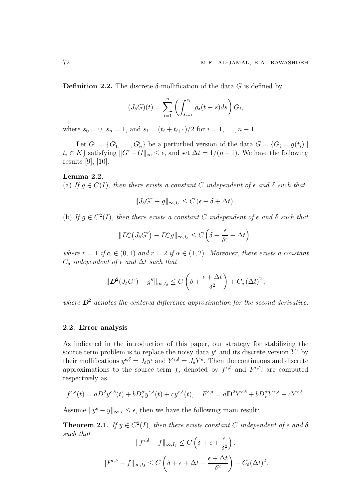Definition 2.2. The discrete  $\delta$ -mollification of the data G is defined by

$$
(J_{\delta}G)(t) = \sum_{i=1}^{n} \left( \int_{s_{i-1}}^{s_i} \rho_{\delta}(t-s)ds \right) G_i,
$$

where  $s_0 = 0$ ,  $s_n = 1$ , and  $s_i = (t_i + t_{i+1})/2$  for  $i = 1, ..., n - 1$ .

Let  $G^{\epsilon} = \{G^{\epsilon}_1, \ldots, G^{\epsilon}_n\}$  be a perturbed version of the data  $G = \{G_i = g(t_i) \mid$  $t_i \in K$  satisfying  $||G^{\epsilon} - G||_{\infty} \leq \epsilon$ , and set  $\Delta t = 1/(n-1)$ . We have the following results [9], [10]:

#### Lemma 2.2.

(a) If  $q \in C(I)$ , then there exists a constant C independent of  $\epsilon$  and  $\delta$  such that

 $||J_{\delta}G^{\epsilon} - g||_{\infty, I_{\delta}} \leq C (\epsilon + \delta + \Delta t).$ 

(b) If  $g \in C^2(I)$ , then there exists a constant C independent of  $\epsilon$  and  $\delta$  such that

$$
||D_*^{\alpha}(J_{\delta}G^{\epsilon}) - D_*^{\alpha}g||_{\infty,I_{\delta}} \leq C\left(\delta + \frac{\epsilon}{\delta^r} + \Delta t\right).
$$

where  $r = 1$  if  $\alpha \in (0, 1)$  and  $r = 2$  if  $\alpha \in (1, 2)$ . Moreover, there exists a constant  $C_{\delta}$  independent of  $\epsilon$  and  $\Delta t$  such that

$$
\|\boldsymbol{D}^2(J_{\delta}G^{\epsilon})-g''\|_{\infty,I_{\delta}}\leq C\left(\delta+\frac{\epsilon+\Delta t}{\delta^2}\right)+C_{\delta}\left(\Delta t\right)^2,
$$

where  $\mathbf{D}^2$  denotes the centered difference approximation for the second derivative.

#### 2.2. Error analysis

As indicated in the introduction of this paper, our strategy for stabilizing the source term problem is to replace the noisy data  $y^{\epsilon}$  and its discrete version  $Y^{\epsilon}$  by their mollifications  $y^{\epsilon,\delta} = J_\delta y^\epsilon$  and  $Y^{\epsilon,\delta} = J_\delta Y^\epsilon$ . Then the continuous and discrete approximations to the source term f, denoted by  $f^{\epsilon,\delta}$  and  $F^{\epsilon,\delta}$ , are computed respectively as

$$
f^{\epsilon,\delta}(t) = aD^2 y^{\epsilon,\delta}(t) + bD_x^{\alpha} y^{\epsilon,\delta}(t) + c y^{\epsilon,\delta}(t), \quad F^{\epsilon,\delta} = aD^2 Y^{\epsilon,\delta} + bD_x^{\alpha} Y^{\epsilon,\delta} + c Y^{\epsilon,\delta}.
$$

Assume  $||y^{\epsilon} - y||_{\infty, I} \leq \epsilon$ , then we have the following main result:

**Theorem 2.1.** If  $y \in C^2(I)$ , then there exists constant C independent of  $\epsilon$  and  $\delta$ such that  $\overline{1}$ 

$$
||f^{\epsilon,\delta} - f||_{\infty, I_{\delta}} \le C\left(\delta + \epsilon + \frac{\epsilon}{\delta^2}\right),
$$
  

$$
||F^{\epsilon,\delta} - f||_{\infty, I_{\delta}} \le C\left(\delta + \epsilon + \Delta t + \frac{\epsilon + \Delta t}{\delta^2}\right) + C_{\delta}(\Delta t)^2.
$$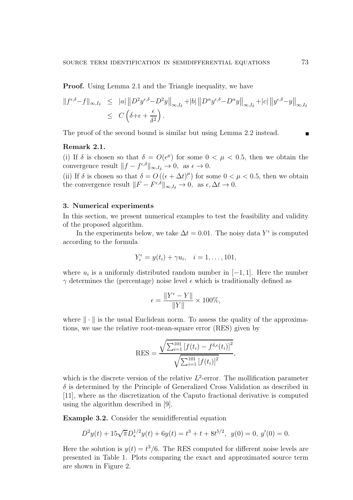Proof. Using Lemma 2.1 and the Triangle inequality, we have

$$
\|f^{\epsilon,\delta}-f\|_{\infty,I_{\delta}} \leq |a| \|D^2 y^{\epsilon,\delta}-D^2 y\|_{\infty,I_{\delta}}+|b| \|D^{\alpha} y^{\epsilon,\delta}-D^{\alpha} y\|_{\infty,I_{\delta}}+|c| \|y^{\epsilon,\delta}-y\|_{\infty,I_{\delta}}
$$
  

$$
\leq C\left(\delta+\epsilon+\frac{\epsilon}{\delta^2}\right).
$$

The proof of the second bound is similar but using Lemma 2.2 instead.

## Remark 2.1.

(i) If  $\delta$  is chosen so that  $\delta = O(\epsilon^{\mu})$  for some  $0 < \mu < 0.5$ , then we obtain the convergence result  $||f - f^{\epsilon, \delta}||_{\infty, I_{\delta}} \to 0$ , as  $\epsilon \to 0$ .

(ii) If  $\delta$  is chosen so that  $\delta = O((\epsilon + \Delta t)^{\mu})$  for some  $0 < \mu < 0.5$ , then we obtain the convergence result  $||F - F^{\epsilon,\delta}||_{\infty,I_{\delta}} \to 0$ , as  $\epsilon, \Delta t \to 0$ .

## 3. Numerical experiments

In this section, we present numerical examples to test the feasibility and validity of the proposed algorithm.

In the experiments below, we take  $\Delta t = 0.01$ . The noisy data  $Y^{\epsilon}$  is computed according to the formula

$$
Y_i^{\epsilon} = y(t_i) + \gamma u_i, \quad i = 1, \dots, 101,
$$

where  $u_i$  is a uniformly distributed random number in  $[-1, 1]$ . Here the number  $\gamma$  determines the (percentage) noise level  $\epsilon$  which is traditionally defined as

$$
\epsilon = \frac{\|Y^{\epsilon} - Y\|}{\|Y\|} \times 100\%,
$$

where  $\|\cdot\|$  is the usual Euclidean norm. To assess the quality of the approximations, we use the relative root-mean-square error (RES) given by

$$
RES = \frac{\sqrt{\sum_{i=1}^{101} [f(t_i) - f^{\delta,\epsilon}(t_i)]^2}}{\sqrt{\sum_{i=1}^{101} [f(t_i)]^2}},
$$

which is the discrete version of the relative  $L^2$ -error. The mollification parameter  $\delta$  is determined by the Principle of Generalized Cross Validation as described in [11], where as the discretization of the Caputo fractional derivative is computed using the algorithm described in [9].

Example 3.2. Consider the semidifferential equation

$$
D^{2}y(t) + 15\sqrt{\pi}D_{*}^{1/2}y(t) + 6y(t) = t^{3} + t + 8t^{5/2}, \ y(0) = 0, \ y'(0) = 0.
$$

Here the solution is  $y(t) = t^3/6$ . The RES computed for different noise levels are presented in Table 1. Plots comparing the exact and approximated source term are shown in Figure 2.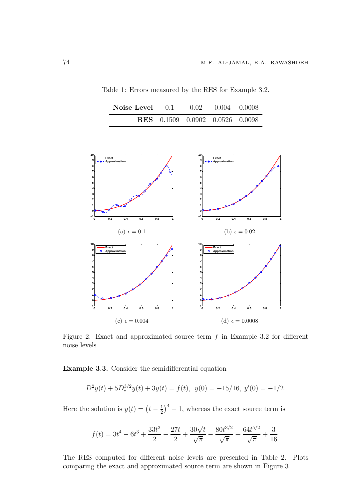| <b>Noise Level</b> 0.1 0.02 0.004 0.0008 |                                        |  |
|------------------------------------------|----------------------------------------|--|
|                                          | <b>RES</b> 0.1509 0.0902 0.0526 0.0098 |  |

Table 1: Errors measured by the RES for Example 3.2.



Figure 2: Exact and approximated source term  $f$  in Example 3.2 for different noise levels.

Example 3.3. Consider the semidifferential equation

$$
D^{2}y(t) + 5D^{3/2}_{*}y(t) + 3y(t) = f(t), \ y(0) = -15/16, \ y'(0) = -1/2.
$$

Here the solution is  $y(t) = \left(t - \frac{1}{2}\right)$  $(\frac{1}{2})^4 - 1$ , whereas the exact source term is

$$
f(t) = 3t^4 - 6t^3 + \frac{33t^2}{2} - \frac{27t}{2} + \frac{30\sqrt{t}}{\sqrt{\pi}} - \frac{80t^{3/2}}{\sqrt{\pi}} + \frac{64t^{5/2}}{\sqrt{\pi}} + \frac{3}{16}.
$$

The RES computed for different noise levels are presented in Table 2. Plots comparing the exact and approximated source term are shown in Figure 3.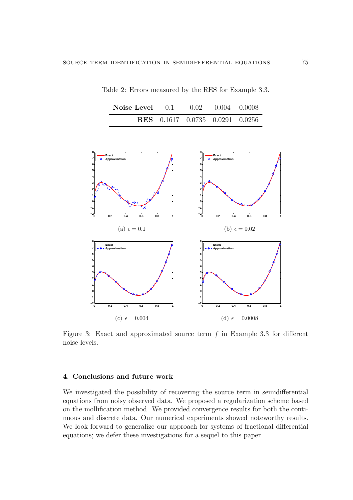| <b>Noise Level</b> 0.1 0.02 0.004 0.0008 |                                        |  |
|------------------------------------------|----------------------------------------|--|
|                                          | <b>RES</b> 0.1617 0.0735 0.0291 0.0256 |  |

Table 2: Errors measured by the RES for Example 3.3.



Figure 3: Exact and approximated source term  $f$  in Example 3.3 for different noise levels.

# 4. Conclusions and future work

We investigated the possibility of recovering the source term in semidifferential equations from noisy observed data. We proposed a regularization scheme based on the mollification method. We provided convergence results for both the continuous and discrete data. Our numerical experiments showed noteworthy results. We look forward to generalize our approach for systems of fractional differential equations; we defer these investigations for a sequel to this paper.